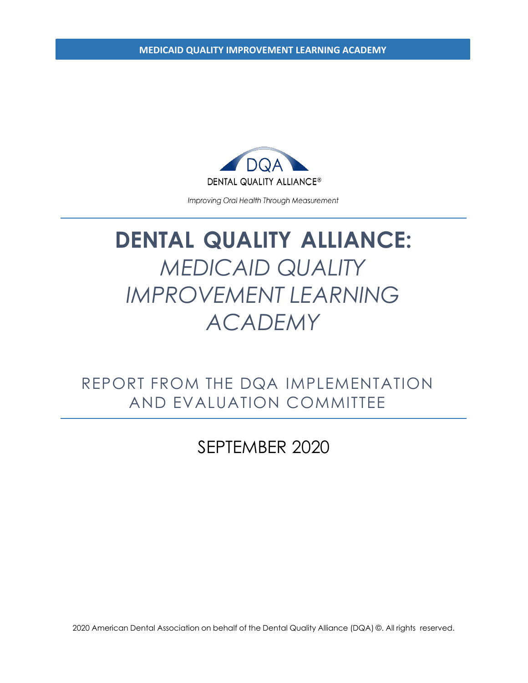**MEDICAID QUALITY IMPROVEMENT LEARNING ACADEMY**



Improving Oral Health Through Measurement

# **DENTAL QUALITY ALLIANCE:** *MEDICAID QUALITY IMPROVEMENT LEARNING ACADEMY*

REPORT FROM THE DQA IMPLEMENTATION AND EVALUATION COMMITTEE

### SEPTEMBER 2020

2020 American Dental Association on behalf of the Dental Quality Alliance (DQA) ©. All rights reserved.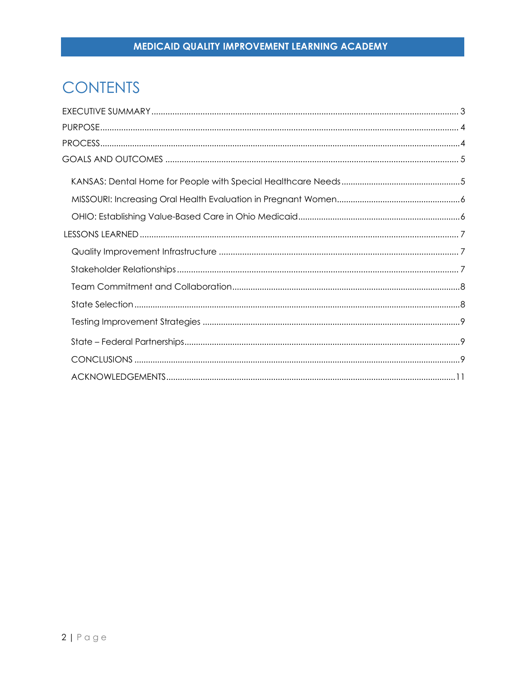## **CONTENTS**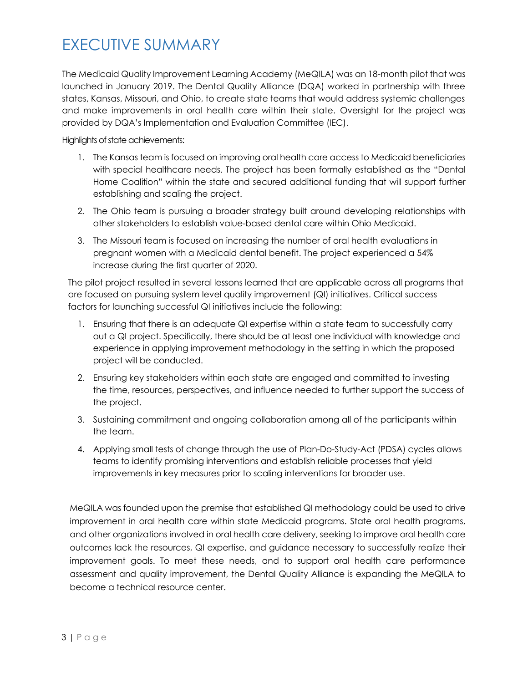## <span id="page-2-0"></span>EXECUTIVE SUMMARY

The Medicaid Quality Improvement Learning Academy (MeQILA) was an 18-month pilot that was launched in January 2019. The Dental Quality Alliance (DQA) worked in partnership with three states, Kansas, Missouri, and Ohio, to create state teams that would address systemic challenges and make improvements in oral health care within their state. Oversight for the project was provided by DQA's Implementation and Evaluation Committee (IEC).

Highlights of state achievements:

- 1. The Kansas team is focused on improving oral health care access to Medicaid beneficiaries with special healthcare needs. The project has been formally established as the "Dental Home Coalition" within the state and secured additional funding that will support further establishing and scaling the project.
- 2. The Ohio team is pursuing a broader strategy built around developing relationships with other stakeholders to establish value-based dental care within Ohio Medicaid.
- 3. The Missouri team is focused on increasing the number of oral health evaluations in pregnant women with a Medicaid dental benefit. The project experienced a 54% increase during the first quarter of 2020.

The pilot project resulted in several lessons learned that are applicable across all programs that are focused on pursuing system level quality improvement (QI) initiatives. Critical success factors for launching successful QI initiatives include the following:

- 1. Ensuring that there is an adequate QI expertise within a state team to successfully carry out a QI project. Specifically, there should be at least one individual with knowledge and experience in applying improvement methodology in the setting in which the proposed project will be conducted.
- 2. Ensuring key stakeholders within each state are engaged and committed to investing the time, resources, perspectives, and influence needed to further support the success of the project.
- 3. Sustaining commitment and ongoing collaboration among all of the participants within the team.
- 4. Applying small tests of change through the use of Plan-Do-Study-Act (PDSA) cycles allows teams to identify promising interventions and establish reliable processes that yield improvements in key measures prior to scaling interventions for broader use.

MeQILA was founded upon the premise that established QI methodology could be used to drive improvement in oral health care within state Medicaid programs. State oral health programs, and other organizations involved in oral health care delivery, seeking to improve oral health care outcomes lack the resources, QI expertise, and guidance necessary to successfully realize their improvement goals. To meet these needs, and to support oral health care performance assessment and quality improvement, the Dental Quality Alliance is expanding the MeQILA to become a technical resource center.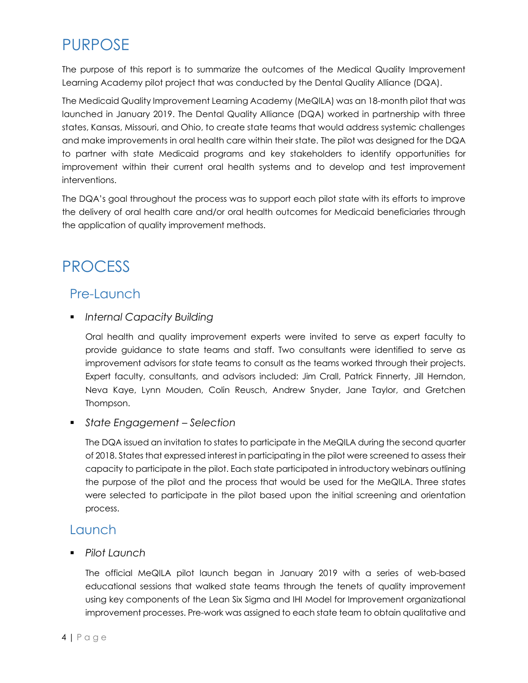## PURPOSE

The purpose of this report is to summarize the outcomes of the Medical Quality Improvement Learning Academy pilot project that was conducted by the Dental Quality Alliance (DQA).

The Medicaid Quality Improvement Learning Academy (MeQILA) was an 18-month pilot that was launched in January 2019. The Dental Quality Alliance (DQA) worked in partnership with three states, Kansas, Missouri, and Ohio, to create state teams that would address systemic challenges and make improvements in oral health care within their state. The pilot was designed for the DQA to partner with state Medicaid programs and key stakeholders to identify opportunities for improvement within their current oral health systems and to develop and test improvement interventions.

The DQA's goal throughout the process was to support each pilot state with its efforts to improve the delivery of oral health care and/or oral health outcomes for Medicaid beneficiaries through the application of quality improvement methods.

### <span id="page-3-0"></span>PROCESS

#### Pre-Launch

*Internal Capacity Building*

Oral health and quality improvement experts were invited to serve as expert faculty to provide guidance to state teams and staff. Two consultants were identified to serve as improvement advisors for state teams to consult as the teams worked through their projects. Expert faculty, consultants, and advisors included: Jim Crall, Patrick Finnerty, Jill Herndon, Neva Kaye, Lynn Mouden, Colin Reusch, Andrew Snyder, Jane Taylor, and Gretchen Thompson.

*State Engagement – Selection*

The DQA issued an invitation to states to participate in the MeQILA during the second quarter of 2018. States that expressed interest in participating in the pilot were screened to assess their capacity to participate in the pilot. Each state participated in introductory webinars outlining the purpose of the pilot and the process that would be used for the MeQILA. Three states were selected to participate in the pilot based upon the initial screening and orientation process.

#### Launch

*Pilot Launch*

The official MeQILA pilot launch began in January 2019 with a series of web-based educational sessions that walked state teams through the tenets of quality improvement using key components of the Lean Six Sigma and IHI Model for Improvement organizational improvement processes. Pre-work was assigned to each state team to obtain qualitative and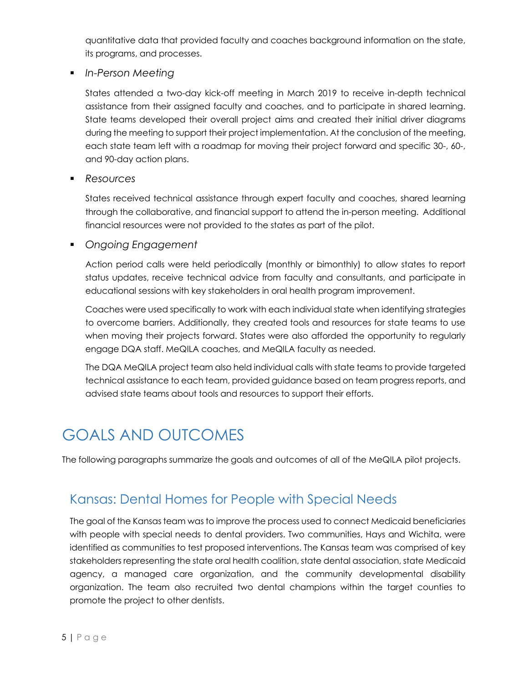quantitative data that provided faculty and coaches background information on the state, its programs, and processes.

*In-Person Meeting*

States attended a two-day kick-off meeting in March 2019 to receive in-depth technical assistance from their assigned faculty and coaches, and to participate in shared learning. State teams developed their overall project aims and created their initial driver diagrams during the meeting to support their project implementation. At the conclusion of the meeting, each state team left with a roadmap for moving their project forward and specific 30-, 60-, and 90-day action plans.

*Resources*

States received technical assistance through expert faculty and coaches, shared learning through the collaborative, and financial support to attend the in-person meeting. Additional financial resources were not provided to the states as part of the pilot.

*Ongoing Engagement*

Action period calls were held periodically (monthly or bimonthly) to allow states to report status updates, receive technical advice from faculty and consultants, and participate in educational sessions with key stakeholders in oral health program improvement.

Coaches were used specifically to work with each individual state when identifying strategies to overcome barriers. Additionally, they created tools and resources for state teams to use when moving their projects forward. States were also afforded the opportunity to regularly engage DQA staff. MeQILA coaches, and MeQILA faculty as needed.

The DQA MeQILA project team also held individual calls with state teams to provide targeted technical assistance to each team, provided guidance based on team progress reports, and advised state teams about tools and resources to support their efforts.

## <span id="page-4-0"></span>GOALS AND OUTCOMES

The following paragraphs summarize the goals and outcomes of all of the MeQILA pilot projects.

### <span id="page-4-1"></span>[Kansas: Dental Homes for People with Special Needs](https://www.ada.org/~/media/ADA/DQA/2019_DiabetesOralEvaluation.pdf?la=en)

The goal of the Kansas team was to improve the process used to connect Medicaid beneficiaries with people with special needs to dental providers. Two communities, Hays and Wichita, were identified as communities to test proposed interventions. The Kansas team was comprised of key stakeholders representing the state oral health coalition, state dental association, state Medicaid agency, a managed care organization, and the community developmental disability organization. The team also recruited two dental champions within the target counties to promote the project to other dentists.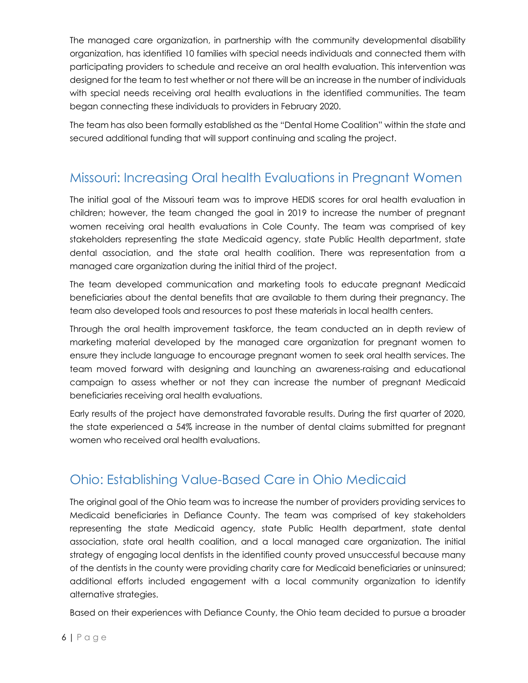The managed care organization, in partnership with the community developmental disability organization, has identified 10 families with special needs individuals and connected them with participating providers to schedule and receive an oral health evaluation. This intervention was designed for the team to test whether or not there will be an increase in the number of individuals with special needs receiving oral health evaluations in the identified communities. The team began connecting these individuals to providers in February 2020.

The team has also been formally established as the "Dental Home Coalition" within the state and secured additional funding that will support continuing and scaling the project.

### <span id="page-5-0"></span>[Missouri: Increasing Oral health Evaluations in Pregnant Women](https://urldefense.proofpoint.com/v2/url?u=https-3A__www.ada.org_-7E_media_ADA_DQA_2020-5FFollowUpafterEDVisitsforDentalCariesinChildren.pdf-3Fla-3Den&d=DwMFAg&c=FGzDrZ8hK6OoO1oc9Smc5l64O0n3B5aByDFzrvN9KLI&r=nog6yQ0eQwWENXE71YHL6eraTU2Rq5ccDVJzImve6uVeMgOgKzXSkghejn9YN12e&m=rs_SKyZwQHmRYS3UWFNDd2RUvPmpbRqcJcLgudQ8kuQ&s=thApLiIpL-V8LeGpwlsUC6ea14TYCclTzEZvwbwjglE&e)

<span id="page-5-1"></span>The initial goal of the Missouri team was to improve HEDIS scores for oral health evaluation in children; however, the team changed the goal in 2019 to increase the number of pregnant women receiving oral health evaluations in Cole County. The team was comprised of key stakeholders representing the state Medicaid agency, state Public Health department, state dental association, and the state oral health coalition. There was representation from a managed care organization during the initial third of the project.

The team developed communication and marketing tools to educate pregnant Medicaid beneficiaries about the dental benefits that are available to them during their pregnancy. The team also developed tools and resources to post these materials in local health centers.

Through the oral health improvement taskforce, the team conducted an in depth review of marketing material developed by the managed care organization for pregnant women to ensure they include language to encourage pregnant women to seek oral health services. The team moved forward with designing and launching an awareness-raising and educational campaign to assess whether or not they can increase the number of pregnant Medicaid beneficiaries receiving oral health evaluations.

Early results of the project have demonstrated favorable results. During the first quarter of 2020, the state experienced a 54% increase in the number of dental claims submitted for pregnant women who received oral health evaluations.

### [Ohio: Establishing Value-Based Care in Ohio Medicaid](https://urldefense.proofpoint.com/v2/url?u=https-3A__www.ada.org_-7E_media_ADA_DQA_2020-5FCariesRiskDocumentation.pdf-3Fla-3Den&d=DwMFAg&c=FGzDrZ8hK6OoO1oc9Smc5l64O0n3B5aByDFzrvN9KLI&r=nog6yQ0eQwWENXE71YHL6eraTU2Rq5ccDVJzImve6uVeMgOgKzXSkghejn9YN12e&m=rs_SKyZwQHmRYS3UWFNDd2RUvPmpbRqcJcLgudQ8kuQ&s=fmBJAydKGUEYTHbBHus2v7FoNgl3GScTfyJjloYECFA&e)

The original goal of the Ohio team was to increase the number of providers providing services to Medicaid beneficiaries in Defiance County. The team was comprised of key stakeholders representing the state Medicaid agency, state Public Health department, state dental association, state oral health coalition, and a local managed care organization. The initial strategy of engaging local dentists in the identified county proved unsuccessful because many of the dentists in the county were providing charity care for Medicaid beneficiaries or uninsured; additional efforts included engagement with a local community organization to identify alternative strategies.

Based on their experiences with Defiance County, the Ohio team decided to pursue a broader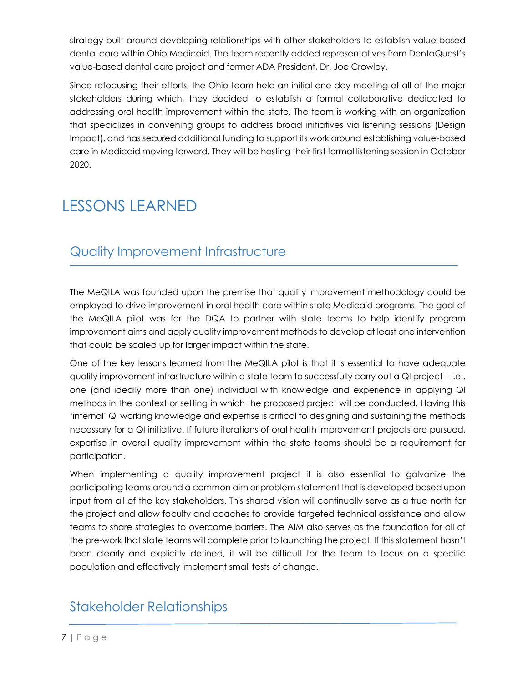<span id="page-6-1"></span>strategy built around developing relationships with other stakeholders to establish value-based dental care within Ohio Medicaid. The team recently added representatives from DentaQuest's value-based dental care project and former ADA President, Dr. Joe Crowley.

Since refocusing their efforts, the Ohio team held an initial one day meeting of all of the major stakeholders during which, they decided to establish a formal collaborative dedicated to addressing oral health improvement within the state. The team is working with an organization that specializes in convening groups to address broad initiatives via listening sessions (Design Impact), and has secured additional funding to support its work around establishing value-based care in Medicaid moving forward. They will be hosting their first formal listening session in October 2020.

## <span id="page-6-0"></span>LESSONS LEARNED

### Quality Improvement Infrastructure

The MeQILA was founded upon the premise that quality improvement methodology could be employed to drive improvement in oral health care within state Medicaid programs. The goal of the MeQILA pilot was for the DQA to partner with state teams to help identify program improvement aims and apply quality improvement methods to develop at least one intervention that could be scaled up for larger impact within the state.

One of the key lessons learned from the MeQILA pilot is that it is essential to have adequate quality improvement infrastructure within a state team to successfully carry out a QI project – i.e., one (and ideally more than one) individual with knowledge and experience in applying QI methods in the context or setting in which the proposed project will be conducted. Having this 'internal' QI working knowledge and expertise is critical to designing and sustaining the methods necessary for a QI initiative. If future iterations of oral health improvement projects are pursued, expertise in overall quality improvement within the state teams should be a requirement for participation.

When implementing a quality improvement project it is also essential to galvanize the participating teams around a common aim or problem statement that is developed based upon input from all of the key stakeholders. This shared vision will continually serve as a true north for the project and allow faculty and coaches to provide targeted technical assistance and allow teams to share strategies to overcome barriers. The AIM also serves as the foundation for all of the pre-work that state teams will complete prior to launching the project. If this statement hasn't been clearly and explicitly defined, it will be difficult for the team to focus on a specific population and effectively implement small tests of change.

### Stakeholder Relationships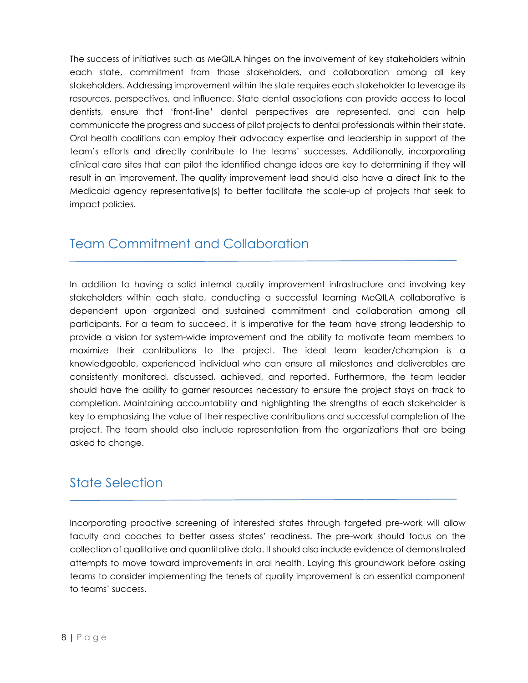<span id="page-7-0"></span>The success of initiatives such as MeQILA hinges on the involvement of key stakeholders within each state, commitment from those stakeholders, and collaboration among all key stakeholders. Addressing improvement within the state requires each stakeholder to leverage its resources, perspectives, and influence. State dental associations can provide access to local dentists, ensure that 'front-line' dental perspectives are represented, and can help communicate the progress and success of pilot projects to dental professionals within their state. Oral health coalitions can employ their advocacy expertise and leadership in support of the team's efforts and directly contribute to the teams' successes. Additionally, incorporating clinical care sites that can pilot the identified change ideas are key to determining if they will result in an improvement. The quality improvement lead should also have a direct link to the Medicaid agency representative(s) to better facilitate the scale-up of projects that seek to impact policies.

#### Team Commitment and Collaboration

In addition to having a solid internal quality improvement infrastructure and involving key stakeholders within each state, conducting a successful learning MeQILA collaborative is dependent upon organized and sustained commitment and collaboration among all participants. For a team to succeed, it is imperative for the team have strong leadership to provide a vision for system-wide improvement and the ability to motivate team members to maximize their contributions to the project. The ideal team leader/champion is a knowledgeable, experienced individual who can ensure all milestones and deliverables are consistently monitored, discussed, achieved, and reported. Furthermore, the team leader should have the ability to garner resources necessary to ensure the project stays on track to completion. Maintaining accountability and highlighting the strengths of each stakeholder is key to emphasizing the value of their respective contributions and successful completion of the project. The team should also include representation from the organizations that are being asked to change.

### State Selection

Incorporating proactive screening of interested states through targeted pre-work will allow faculty and coaches to better assess states' readiness. The pre-work should focus on the collection of qualitative and quantitative data. It should also include evidence of demonstrated attempts to move toward improvements in oral health. Laying this groundwork before asking teams to consider implementing the tenets of quality improvement is an essential component to teams' success.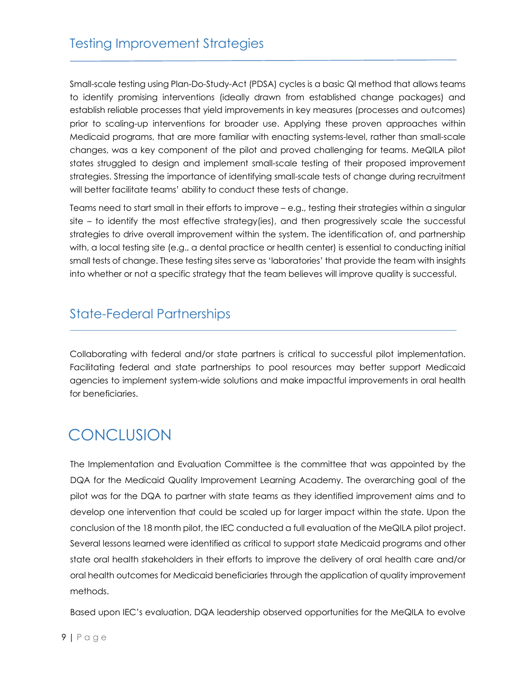Small-scale testing using Plan-Do-Study-Act (PDSA) cycles is a basic QI method that allows teams to identify promising interventions (ideally drawn from established change packages) and establish reliable processes that yield improvements in key measures (processes and outcomes) prior to scaling-up interventions for broader use. Applying these proven approaches within Medicaid programs, that are more familiar with enacting systems-level, rather than small-scale changes, was a key component of the pilot and proved challenging for teams. MeQILA pilot states struggled to design and implement small-scale testing of their proposed improvement strategies. Stressing the importance of identifying small-scale tests of change during recruitment will better facilitate teams' ability to conduct these tests of change.

Teams need to start small in their efforts to improve – e.g., testing their strategies within a singular site – to identify the most effective strategy(ies), and then progressively scale the successful strategies to drive overall improvement within the system. The identification of, and partnership with, a local testing site (e.g., a dental practice or health center) is essential to conducting initial small tests of change. These testing sites serve as 'laboratories' that provide the team with insights into whether or not a specific strategy that the team believes will improve quality is successful.

#### State-Federal Partnerships

Collaborating with federal and/or state partners is critical to successful pilot implementation. Facilitating federal and state partnerships to pool resources may better support Medicaid agencies to implement system-wide solutions and make impactful improvements in oral health for beneficiaries.

### **CONCLUSION**

The Implementation and Evaluation Committee is the committee that was appointed by the DQA for the Medicaid Quality Improvement Learning Academy. The overarching goal of the pilot was for the DQA to partner with state teams as they identified improvement aims and to develop one intervention that could be scaled up for larger impact within the state. Upon the conclusion of the 18 month pilot, the IEC conducted a full evaluation of the MeQILA pilot project. Several lessons learned were identified as critical to support state Medicaid programs and other state oral health stakeholders in their efforts to improve the delivery of oral health care and/or oral health outcomes for Medicaid beneficiaries through the application of quality improvement methods.

Based upon IEC's evaluation, DQA leadership observed opportunities for the MeQILA to evolve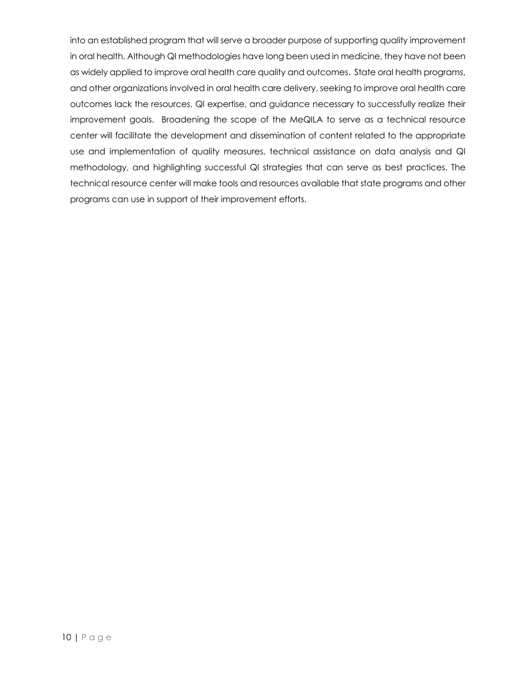into an established program that will serve a broader purpose of supporting quality improvement in oral health. Although QI methodologies have long been used in medicine, they have not been as widely applied to improve oral health care quality and outcomes. State oral health programs, and other organizations involved in oral health care delivery, seeking to improve oral health care outcomes lack the resources, QI expertise, and guidance necessary to successfully realize their improvement goals. Broadening the scope of the MeQILA to serve as a technical resource center will facilitate the development and dissemination of content related to the appropriate use and implementation of quality measures, technical assistance on data analysis and QI methodology, and highlighting successful QI strategies that can serve as best practices. The technical resource center will make tools and resources available that state programs and other programs can use in support of their improvement efforts.